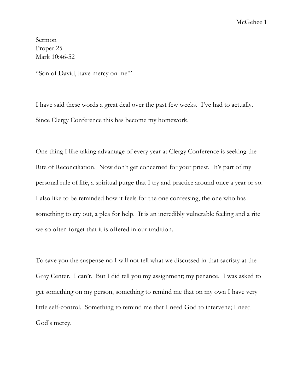McGehee 1

Sermon Proper 25 Mark 10:46-52

"Son of David, have mercy on me!"

I have said these words a great deal over the past few weeks. I've had to actually. Since Clergy Conference this has become my homework.

One thing I like taking advantage of every year at Clergy Conference is seeking the Rite of Reconciliation. Now don't get concerned for your priest. It's part of my personal rule of life, a spiritual purge that I try and practice around once a year or so. I also like to be reminded how it feels for the one confessing, the one who has something to cry out, a plea for help. It is an incredibly vulnerable feeling and a rite we so often forget that it is offered in our tradition.

To save you the suspense no I will not tell what we discussed in that sacristy at the Gray Center. I can't. But I did tell you my assignment; my penance. I was asked to get something on my person, something to remind me that on my own I have very little self-control. Something to remind me that I need God to intervene; I need God's mercy.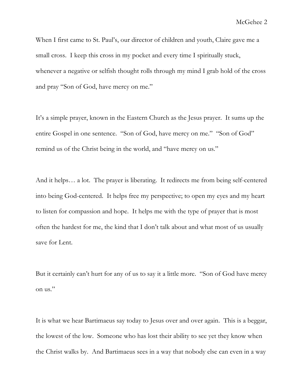When I first came to St. Paul's, our director of children and youth, Claire gave me a small cross. I keep this cross in my pocket and every time I spiritually stuck, whenever a negative or selfish thought rolls through my mind I grab hold of the cross and pray "Son of God, have mercy on me."

It's a simple prayer, known in the Eastern Church as the Jesus prayer. It sums up the entire Gospel in one sentence. "Son of God, have mercy on me." "Son of God" remind us of the Christ being in the world, and "have mercy on us."

And it helps… a lot. The prayer is liberating. It redirects me from being self-centered into being God-centered. It helps free my perspective; to open my eyes and my heart to listen for compassion and hope. It helps me with the type of prayer that is most often the hardest for me, the kind that I don't talk about and what most of us usually save for Lent.

But it certainly can't hurt for any of us to say it a little more. "Son of God have mercy on us."

It is what we hear Bartimaeus say today to Jesus over and over again. This is a beggar, the lowest of the low. Someone who has lost their ability to see yet they know when the Christ walks by. And Bartimaeus sees in a way that nobody else can even in a way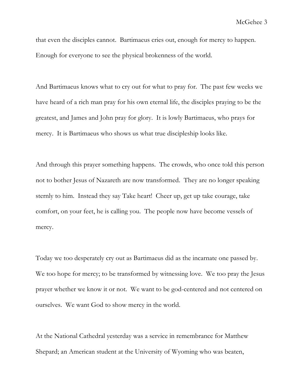that even the disciples cannot. Bartimaeus cries out, enough for mercy to happen. Enough for everyone to see the physical brokenness of the world.

And Bartimaeus knows what to cry out for what to pray for. The past few weeks we have heard of a rich man pray for his own eternal life, the disciples praying to be the greatest, and James and John pray for glory. It is lowly Bartimaeus, who prays for mercy. It is Bartimaeus who shows us what true discipleship looks like.

And through this prayer something happens. The crowds, who once told this person not to bother Jesus of Nazareth are now transformed. They are no longer speaking sternly to him. Instead they say Take heart! Cheer up, get up take courage, take comfort, on your feet, he is calling you. The people now have become vessels of mercy.

Today we too desperately cry out as Bartimaeus did as the incarnate one passed by. We too hope for mercy; to be transformed by witnessing love. We too pray the Jesus prayer whether we know it or not. We want to be god-centered and not centered on ourselves. We want God to show mercy in the world.

At the National Cathedral yesterday was a service in remembrance for Matthew Shepard; an American student at the University of Wyoming who was beaten,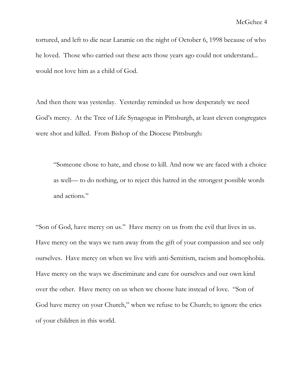tortured, and left to die near Laramie on the night of October 6, 1998 because of who he loved. Those who carried out these acts those years ago could not understand... would not love him as a child of God.

And then there was yesterday. Yesterday reminded us how desperately we need God's mercy. At the Tree of Life Synagogue in Pittsburgh, at least eleven congregates were shot and killed. From Bishop of the Diocese Pittsburgh:

"Someone chose to hate, and chose to kill. And now we are faced with a choice as well— to do nothing, or to reject this hatred in the strongest possible words and actions."

"Son of God, have mercy on us." Have mercy on us from the evil that lives in us. Have mercy on the ways we turn away from the gift of your compassion and see only ourselves. Have mercy on when we live with anti-Semitism, racism and homophobia. Have mercy on the ways we discriminate and care for ourselves and our own kind over the other. Have mercy on us when we choose hate instead of love. "Son of God have mercy on your Church," when we refuse to be Church; to ignore the cries of your children in this world.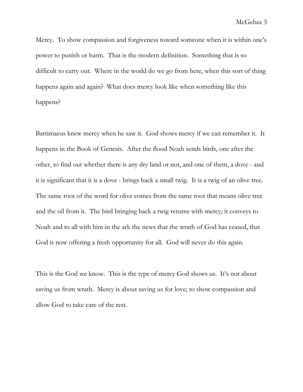Mercy. To show compassion and forgiveness toward someone when it is within one's power to punish or harm. That is the modern definition. Something that is so difficult to carry out. Where in the world do we go from here, when this sort of thing happens again and again? What does mercy look like when something like this happens?

Bartimaeus knew mercy when he saw it. God shows mercy if we can remember it. It happens in the Book of Genesis. After the flood Noah sends birds, one after the other, to find out whether there is any dry land or not, and one of them, a dove - and it is significant that it is a dove - brings back a small twig. It is a twig of an olive tree. The same root of the word for olive comes from the same root that means olive tree and the oil from it. The bird bringing back a twig returns with mercy; it conveys to Noah and to all with him in the ark the news that the wrath of God has ceased, that God is now offering a fresh opportunity for all. God will never do this again.

This is the God we know. This is the type of mercy God shows us. It's not about saving us from wrath. Mercy is about saving us for love; to show compassion and allow God to take care of the rest.